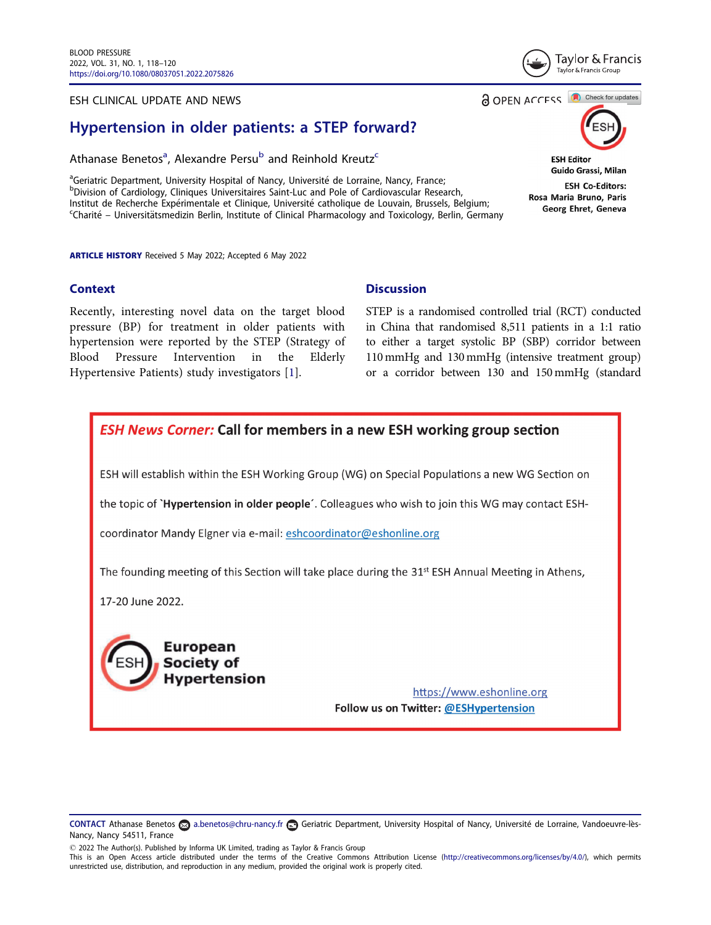### ESH CLINICAL UPDATE AND NEWS

# Hypertension in older patients: a STEP forward?

Athanase Benetos<sup>a</sup>, Alexandre Persu<sup>b</sup> and Reinhold Kreutz<sup>c</sup>

<sup>a</sup>Geriatric Department, University Hospital of Nancy, Université de Lorraine, Nancy, France;<br>PDivision of Cardiology, Cliniques Universitaires Saint-Luc and Pole of Cardiovascular Bese <sup>b</sup>Division of Cardiology, Cliniques Universitaires Saint-Luc and Pole of Cardiovascular Research, Institut de Recherche Expérimentale et Clinique, Université catholique de Louvain, Brussels, Belgium; <sup>c</sup>Charité – Universitätsmedizin Berlin, Institute of Clinical Pharmacology and Toxicology, Berlin, Germany

ARTICLE HISTORY Received 5 May 2022; Accepted 6 May 2022

### **Context**

Recently, interesting novel data on the target blood pressure (BP) for treatment in older patients with hypertension were reported by the STEP (Strategy of Blood Pressure Intervention in the Elderly Hypertensive Patients) study investigators [1].

# **Discussion**

STEP is a randomised controlled trial (RCT) conducted in China that randomised 8,511 patients in a 1:1 ratio to either a target systolic BP (SBP) corridor between 110 mmHg and 130 mmHg (intensive treatment group) or a corridor between 130 and 150 mmHg (standard

CONTACT Athanase Benetos a.benetos@chru-nancy.fr **com** Geriatric Department, University Hospital of Nancy, Université de Lorraine, Vandoeuvre-lès-



**ESH News Corner: Call for members in a new ESH working group section** 

a OPEN ACCESS **a** Check for updates

**ESH Editor** Guido Grassi, Milan

**ESH Co-Editors:** Rosa Maria Bruno, Paris Georg Ehret, Geneva



**Hypertension** 

https://www.eshonline.org Follow us on Twitter: @ESHypertension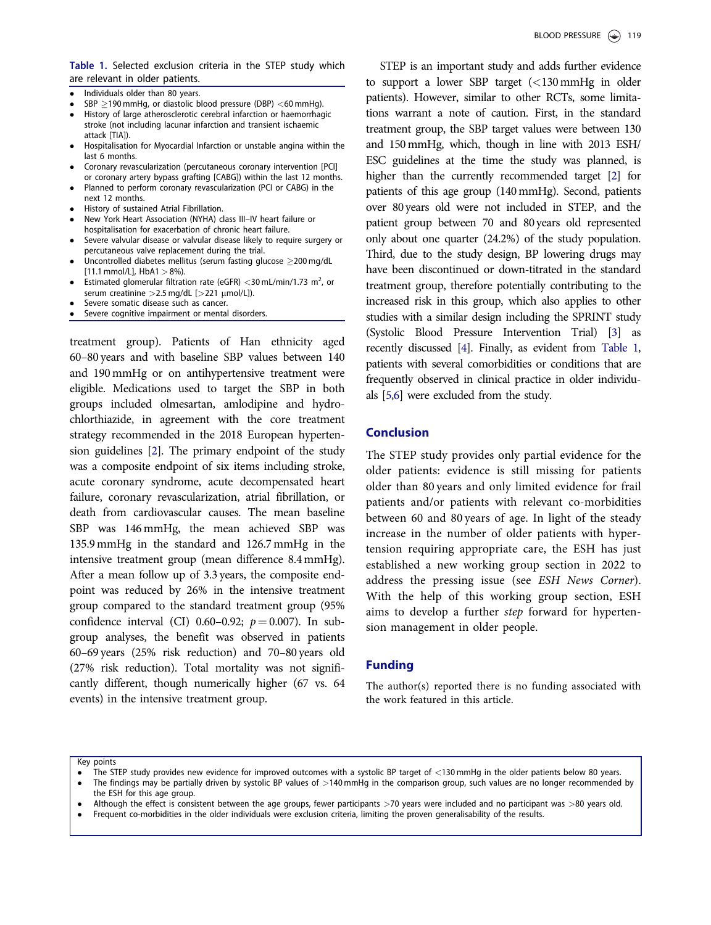Table 1. Selected exclusion criteria in the STEP study which are relevant in older patients.

- -Individuals older than 80 years.
- -SBP  $\geq$ 190 mmHg, or diastolic blood pressure (DBP) <60 mmHg).
- - History of large atherosclerotic cerebral infarction or haemorrhagic stroke (not including lacunar infarction and transient ischaemic attack [TIA]).
- - Hospitalisation for Myocardial Infarction or unstable angina within the last 6 months.
- - Coronary revascularization (percutaneous coronary intervention [PCI] or coronary artery bypass grafting [CABG]) within the last 12 months.
- Planned to perform coronary revascularization (PCI or CABG) in the next 12 months.
- -History of sustained Atrial Fibrillation.
- - New York Heart Association (NYHA) class III–IV heart failure or hospitalisation for exacerbation of chronic heart failure.
- - Severe valvular disease or valvular disease likely to require surgery or percutaneous valve replacement during the trial.
- -Uncontrolled diabetes mellitus (serum fasting glucose  $\geq$  200 mg/dL  $[11.1 \text{ mmol/Ll}$ , HbA1  $> 8\%$ ).
- -• Estimated glomerular filtration rate (eGFR)  $<$  30 mL/min/1.73 m<sup>2</sup>, or serum creatinine  $>$  2.5 mg/dL [ $>$ 221  $\mu$ mol/L]).
- -Severe somatic disease such as cancer.
- -Severe cognitive impairment or mental disorders.

treatment group). Patients of Han ethnicity aged 60–80 years and with baseline SBP values between 140 and 190 mmHg or on antihypertensive treatment were eligible. Medications used to target the SBP in both groups included olmesartan, amlodipine and hydrochlorthiazide, in agreement with the core treatment strategy recommended in the 2018 European hypertension guidelines [2]. The primary endpoint of the study was a composite endpoint of six items including stroke, acute coronary syndrome, acute decompensated heart failure, coronary revascularization, atrial fibrillation, or death from cardiovascular causes. The mean baseline SBP was 146 mmHg, the mean achieved SBP was 135.9 mmHg in the standard and 126.7 mmHg in the intensive treatment group (mean difference 8.4 mmHg). After a mean follow up of 3.3 years, the composite endpoint was reduced by 26% in the intensive treatment group compared to the standard treatment group (95% confidence interval (CI) 0.60–0.92;  $p = 0.007$ ). In subgroup analyses, the benefit was observed in patients 60–69 years (25% risk reduction) and 70–80 years old (27% risk reduction). Total mortality was not significantly different, though numerically higher (67 vs. 64 events) in the intensive treatment group.

STEP is an important study and adds further evidence to support a lower SBP target (<130 mmHg in older patients). However, similar to other RCTs, some limitations warrant a note of caution. First, in the standard treatment group, the SBP target values were between 130 and 150 mmHg, which, though in line with 2013 ESH/ ESC guidelines at the time the study was planned, is higher than the currently recommended target [2] for patients of this age group (140mmHg). Second, patients over 80 years old were not included in STEP, and the patient group between 70 and 80 years old represented only about one quarter (24.2%) of the study population. Third, due to the study design, BP lowering drugs may have been discontinued or down-titrated in the standard treatment group, therefore potentially contributing to the increased risk in this group, which also applies to other studies with a similar design including the SPRINT study (Systolic Blood Pressure Intervention Trial) [3] as recently discussed [4]. Finally, as evident from Table 1, patients with several comorbidities or conditions that are frequently observed in clinical practice in older individuals [5,6] were excluded from the study.

## Conclusion

The STEP study provides only partial evidence for the older patients: evidence is still missing for patients older than 80 years and only limited evidence for frail patients and/or patients with relevant co-morbidities between 60 and 80 years of age. In light of the steady increase in the number of older patients with hypertension requiring appropriate care, the ESH has just established a new working group section in 2022 to address the pressing issue (see ESH News Corner). With the help of this working group section, ESH aims to develop a further step forward for hypertension management in older people.

### Funding

The author(s) reported there is no funding associated with the work featured in this article.

Key points

- -The STEP study provides new evidence for improved outcomes with a systolic BP target of <130 mmHg in the older patients below 80 years.
- -The findings may be partially driven by systolic BP values of  $>140$  mmHg in the comparison group, such values are no longer recommended by the ESH for this age group.
- -Although the effect is consistent between the age groups, fewer participants >70 years were included and no participant was >80 years old.
- -Frequent co-morbidities in the older individuals were exclusion criteria, limiting the proven generalisability of the results.